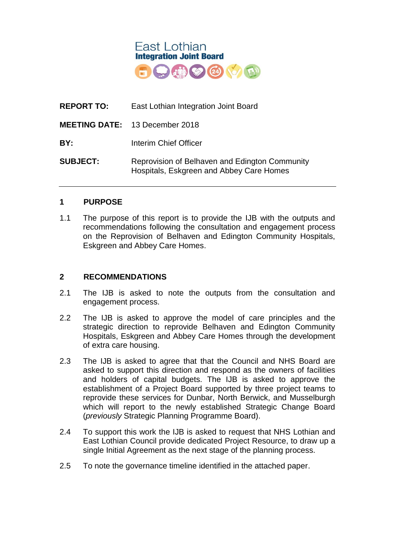

| <b>REPORT TO:</b> | East Lothian Integration Joint Board                                                       |
|-------------------|--------------------------------------------------------------------------------------------|
|                   | <b>MEETING DATE: 13 December 2018</b>                                                      |
| BY:               | Interim Chief Officer                                                                      |
| <b>SUBJECT:</b>   | Reprovision of Belhaven and Edington Community<br>Hospitals, Eskgreen and Abbey Care Homes |

## **1 PURPOSE**

1.1 The purpose of this report is to provide the IJB with the outputs and recommendations following the consultation and engagement process on the Reprovision of Belhaven and Edington Community Hospitals, Eskgreen and Abbey Care Homes.

#### **2 RECOMMENDATIONS**

- 2.1 The IJB is asked to note the outputs from the consultation and engagement process.
- 2.2 The IJB is asked to approve the model of care principles and the strategic direction to reprovide Belhaven and Edington Community Hospitals, Eskgreen and Abbey Care Homes through the development of extra care housing.
- 2.3 The IJB is asked to agree that that the Council and NHS Board are asked to support this direction and respond as the owners of facilities and holders of capital budgets. The IJB is asked to approve the establishment of a Project Board supported by three project teams to reprovide these services for Dunbar, North Berwick, and Musselburgh which will report to the newly established Strategic Change Board (*previously* Strategic Planning Programme Board).
- 2.4 To support this work the IJB is asked to request that NHS Lothian and East Lothian Council provide dedicated Project Resource, to draw up a single Initial Agreement as the next stage of the planning process.
- 2.5 To note the governance timeline identified in the attached paper.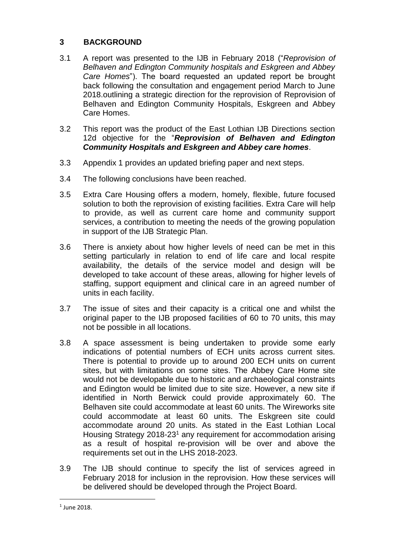# **3 BACKGROUND**

- 3.1 A report was presented to the IJB in February 2018 ("*Reprovision of Belhaven and Edington Community hospitals and Eskgreen and Abbey Care Homes*"). The board requested an updated report be brought back following the consultation and engagement period March to June 2018.outlining a strategic direction for the reprovision of Reprovision of Belhaven and Edington Community Hospitals, Eskgreen and Abbey Care Homes.
- 3.2 This report was the product of the East Lothian IJB Directions section 12d objective for the "*Reprovision of Belhaven and Edington Community Hospitals and Eskgreen and Abbey care homes*.
- 3.3 Appendix 1 provides an updated briefing paper and next steps.
- 3.4 The following conclusions have been reached.
- 3.5 Extra Care Housing offers a modern, homely, flexible, future focused solution to both the reprovision of existing facilities. Extra Care will help to provide, as well as current care home and community support services, a contribution to meeting the needs of the growing population in support of the IJB Strategic Plan.
- 3.6 There is anxiety about how higher levels of need can be met in this setting particularly in relation to end of life care and local respite availability, the details of the service model and design will be developed to take account of these areas, allowing for higher levels of staffing, support equipment and clinical care in an agreed number of units in each facility.
- 3.7 The issue of sites and their capacity is a critical one and whilst the original paper to the IJB proposed facilities of 60 to 70 units, this may not be possible in all locations.
- 3.8 A space assessment is being undertaken to provide some early indications of potential numbers of ECH units across current sites. There is potential to provide up to around 200 ECH units on current sites, but with limitations on some sites. The Abbey Care Home site would not be developable due to historic and archaeological constraints and Edington would be limited due to site size. However, a new site if identified in North Berwick could provide approximately 60. The Belhaven site could accommodate at least 60 units. The Wireworks site could accommodate at least 60 units. The Eskgreen site could accommodate around 20 units. As stated in the East Lothian Local Housing Strategy 2018-23<sup>1</sup> any requirement for accommodation arising as a result of hospital re-provision will be over and above the requirements set out in the LHS 2018-2023.
- 3.9 The IJB should continue to specify the list of services agreed in February 2018 for inclusion in the reprovision. How these services will be delivered should be developed through the Project Board.

 $\overline{a}$ 

<sup>1</sup> June 2018.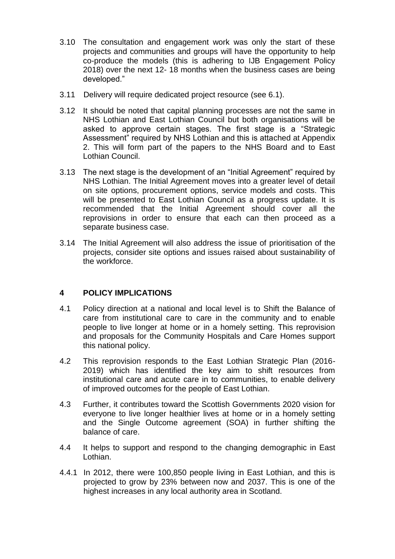- 3.10 The consultation and engagement work was only the start of these projects and communities and groups will have the opportunity to help co-produce the models (this is adhering to IJB Engagement Policy 2018) over the next 12- 18 months when the business cases are being developed."
- 3.11 Delivery will require dedicated project resource (see 6.1).
- 3.12 It should be noted that capital planning processes are not the same in NHS Lothian and East Lothian Council but both organisations will be asked to approve certain stages. The first stage is a "Strategic Assessment" required by NHS Lothian and this is attached at Appendix 2. This will form part of the papers to the NHS Board and to East Lothian Council.
- 3.13 The next stage is the development of an "Initial Agreement" required by NHS Lothian. The Initial Agreement moves into a greater level of detail on site options, procurement options, service models and costs. This will be presented to East Lothian Council as a progress update. It is recommended that the Initial Agreement should cover all the reprovisions in order to ensure that each can then proceed as a separate business case.
- 3.14 The Initial Agreement will also address the issue of prioritisation of the projects, consider site options and issues raised about sustainability of the workforce.

# **4 POLICY IMPLICATIONS**

- 4.1 Policy direction at a national and local level is to Shift the Balance of care from institutional care to care in the community and to enable people to live longer at home or in a homely setting. This reprovision and proposals for the Community Hospitals and Care Homes support this national policy.
- 4.2 This reprovision responds to the East Lothian Strategic Plan (2016- 2019) which has identified the key aim to shift resources from institutional care and acute care in to communities, to enable delivery of improved outcomes for the people of East Lothian.
- 4.3 Further, it contributes toward the Scottish Governments 2020 vision for everyone to live longer healthier lives at home or in a homely setting and the Single Outcome agreement (SOA) in further shifting the balance of care.
- 4.4 It helps to support and respond to the changing demographic in East Lothian.
- 4.4.1 In 2012, there were 100,850 people living in East Lothian, and this is projected to grow by 23% between now and 2037. This is one of the highest increases in any local authority area in Scotland.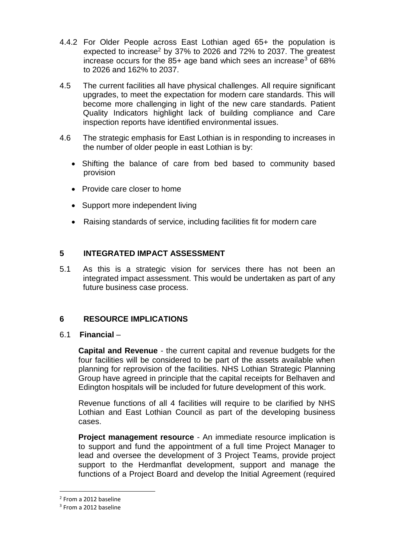- 4.4.2 For Older People across East Lothian aged 65+ the population is expected to increase<sup>2</sup> by 37% to 2026 and 72% to 2037. The greatest increase occurs for the  $85+$  age band which sees an increase<sup>3</sup> of  $68\%$ to 2026 and 162% to 2037.
- 4.5 The current facilities all have physical challenges. All require significant upgrades, to meet the expectation for modern care standards. This will become more challenging in light of the new care standards. Patient Quality Indicators highlight lack of building compliance and Care inspection reports have identified environmental issues.
- 4.6 The strategic emphasis for East Lothian is in responding to increases in the number of older people in east Lothian is by:
	- Shifting the balance of care from bed based to community based provision
	- Provide care closer to home
	- Support more independent living
	- Raising standards of service, including facilities fit for modern care

## **5 INTEGRATED IMPACT ASSESSMENT**

5.1 As this is a strategic vision for services there has not been an integrated impact assessment. This would be undertaken as part of any future business case process.

## **6 RESOURCE IMPLICATIONS**

## 6.1 **Financial** –

**Capital and Revenue** - the current capital and revenue budgets for the four facilities will be considered to be part of the assets available when planning for reprovision of the facilities. NHS Lothian Strategic Planning Group have agreed in principle that the capital receipts for Belhaven and Edington hospitals will be included for future development of this work.

Revenue functions of all 4 facilities will require to be clarified by NHS Lothian and East Lothian Council as part of the developing business cases.

**Project management resource** - An immediate resource implication is to support and fund the appointment of a full time Project Manager to lead and oversee the development of 3 Project Teams, provide project support to the Herdmanflat development, support and manage the functions of a Project Board and develop the Initial Agreement (required

 $\overline{a}$ 

<sup>2</sup> From a 2012 baseline

<sup>&</sup>lt;sup>3</sup> From a 2012 baseline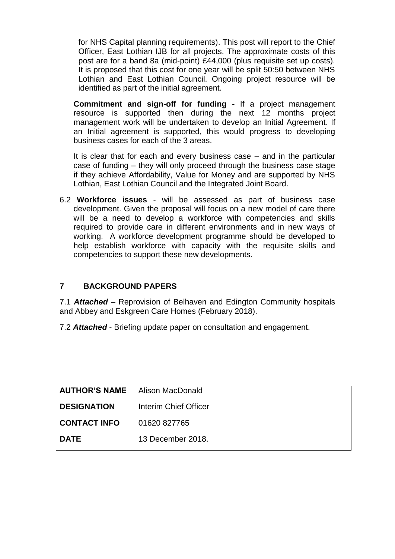for NHS Capital planning requirements). This post will report to the Chief Officer, East Lothian IJB for all projects. The approximate costs of this post are for a band 8a (mid-point) £44,000 (plus requisite set up costs). It is proposed that this cost for one year will be split 50:50 between NHS Lothian and East Lothian Council. Ongoing project resource will be identified as part of the initial agreement.

**Commitment and sign-off for funding -** If a project management resource is supported then during the next 12 months project management work will be undertaken to develop an Initial Agreement. If an Initial agreement is supported, this would progress to developing business cases for each of the 3 areas.

It is clear that for each and every business case – and in the particular case of funding – they will only proceed through the business case stage if they achieve Affordability, Value for Money and are supported by NHS Lothian, East Lothian Council and the Integrated Joint Board.

6.2 **Workforce issues** - will be assessed as part of business case development. Given the proposal will focus on a new model of care there will be a need to develop a workforce with competencies and skills required to provide care in different environments and in new ways of working. A workforce development programme should be developed to help establish workforce with capacity with the requisite skills and competencies to support these new developments.

# **7 BACKGROUND PAPERS**

7.1 *Attached* – Reprovision of Belhaven and Edington Community hospitals and Abbey and Eskgreen Care Homes (February 2018).

7.2 *Attached* - Briefing update paper on consultation and engagement.

| <b>AUTHOR'S NAME</b> | Alison MacDonald      |
|----------------------|-----------------------|
| <b>DESIGNATION</b>   | Interim Chief Officer |
| <b>CONTACT INFO</b>  | 01620 827765          |
| <b>DATE</b>          | 13 December 2018.     |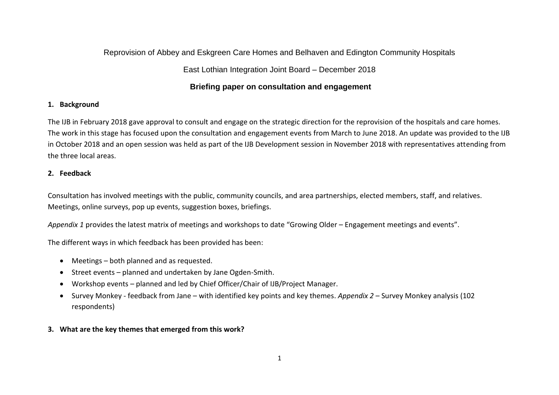# Reprovision of Abbey and Eskgreen Care Homes and Belhaven and Edington Community Hospitals

## East Lothian Integration Joint Board – December 2018

## **Briefing paper on consultation and engagement**

### **1. Background**

The IJB in February 2018 gave approval to consult and engage on the strategic direction for the reprovision of the hospitals and care homes. The work in this stage has focused upon the consultation and engagement events from March to June 2018. An update was provided to the IJB in October 2018 and an open session was held as part of the IJB Development session in November 2018 with representatives attending from the three local areas.

### **2. Feedback**

Consultation has involved meetings with the public, community councils, and area partnerships, elected members, staff, and relatives. Meetings, online surveys, pop up events, suggestion boxes, briefings.

*Appendix 1* provides the latest matrix of meetings and workshops to date "Growing Older – Engagement meetings and events".

The different ways in which feedback has been provided has been:

- Meetings both planned and as requested.
- Street events planned and undertaken by Jane Ogden-Smith.
- Workshop events planned and led by Chief Officer/Chair of IJB/Project Manager.
- Survey Monkey feedback from Jane with identified key points and key themes. *Appendix 2* Survey Monkey analysis (102 respondents)
- **3. What are the key themes that emerged from this work?**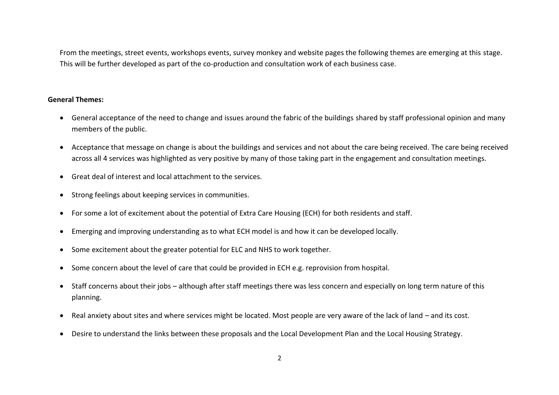From the meetings, street events, workshops events, survey monkey and website pages the following themes are emerging at this stage. This will be further developed as part of the co-production and consultation work of each business case.

#### **General Themes:**

- General acceptance of the need to change and issues around the fabric of the buildings shared by staff professional opinion and many members of the public.
- Acceptance that message on change is about the buildings and services and not about the care being received. The care being received across all 4 services was highlighted as very positive by many of those taking part in the engagement and consultation meetings.
- Great deal of interest and local attachment to the services.
- Strong feelings about keeping services in communities.
- For some a lot of excitement about the potential of Extra Care Housing (ECH) for both residents and staff.
- Emerging and improving understanding as to what ECH model is and how it can be developed locally.
- Some excitement about the greater potential for ELC and NHS to work together.
- Some concern about the level of care that could be provided in ECH e.g. reprovision from hospital.
- Staff concerns about their jobs although after staff meetings there was less concern and especially on long term nature of this planning.
- Real anxiety about sites and where services might be located. Most people are very aware of the lack of land and its cost.
- Desire to understand the links between these proposals and the Local Development Plan and the Local Housing Strategy.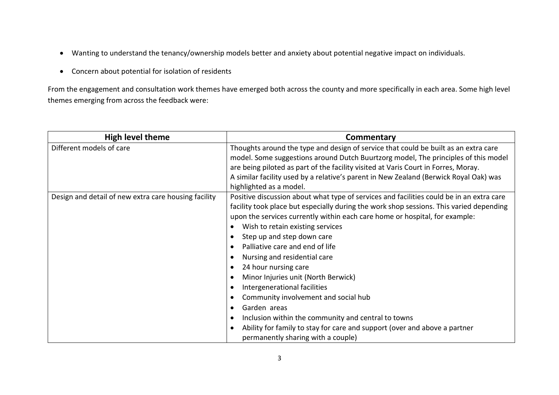- Wanting to understand the tenancy/ownership models better and anxiety about potential negative impact on individuals.
- Concern about potential for isolation of residents

From the engagement and consultation work themes have emerged both across the county and more specifically in each area. Some high level themes emerging from across the feedback were:

| <b>High level theme</b>                              | Commentary                                                                                                                                                                                                                                                                                                                                                                                                                                                                                                                                                                                                                                                                                                                                                                                                                          |
|------------------------------------------------------|-------------------------------------------------------------------------------------------------------------------------------------------------------------------------------------------------------------------------------------------------------------------------------------------------------------------------------------------------------------------------------------------------------------------------------------------------------------------------------------------------------------------------------------------------------------------------------------------------------------------------------------------------------------------------------------------------------------------------------------------------------------------------------------------------------------------------------------|
| Different models of care                             | Thoughts around the type and design of service that could be built as an extra care<br>model. Some suggestions around Dutch Buurtzorg model, The principles of this model<br>are being piloted as part of the facility visited at Varis Court in Forres, Moray.<br>A similar facility used by a relative's parent in New Zealand (Berwick Royal Oak) was<br>highlighted as a model.                                                                                                                                                                                                                                                                                                                                                                                                                                                 |
| Design and detail of new extra care housing facility | Positive discussion about what type of services and facilities could be in an extra care<br>facility took place but especially during the work shop sessions. This varied depending<br>upon the services currently within each care home or hospital, for example:<br>Wish to retain existing services<br>Step up and step down care<br>$\bullet$<br>Palliative care and end of life<br>Nursing and residential care<br>24 hour nursing care<br>$\bullet$<br>Minor Injuries unit (North Berwick)<br>Intergenerational facilities<br>$\bullet$<br>Community involvement and social hub<br>$\bullet$<br>Garden areas<br>$\bullet$<br>Inclusion within the community and central to towns<br>$\bullet$<br>Ability for family to stay for care and support (over and above a partner<br>$\bullet$<br>permanently sharing with a couple) |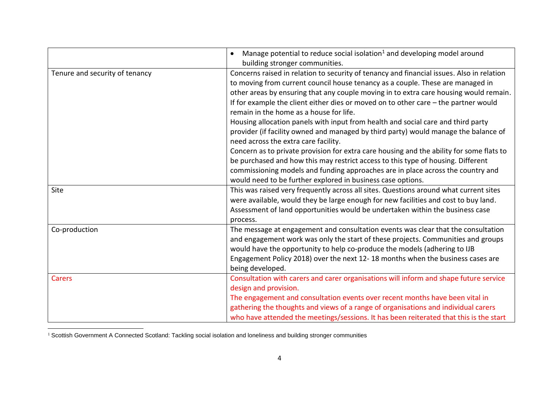|                                | Manage potential to reduce social isolation <sup>1</sup> and developing model around<br>building stronger communities.                                                                                                                                                                                                                                                                                                                                                                                                                                                                                                                                                                                                                                                                                                                                                                                                                                        |
|--------------------------------|---------------------------------------------------------------------------------------------------------------------------------------------------------------------------------------------------------------------------------------------------------------------------------------------------------------------------------------------------------------------------------------------------------------------------------------------------------------------------------------------------------------------------------------------------------------------------------------------------------------------------------------------------------------------------------------------------------------------------------------------------------------------------------------------------------------------------------------------------------------------------------------------------------------------------------------------------------------|
| Tenure and security of tenancy | Concerns raised in relation to security of tenancy and financial issues. Also in relation<br>to moving from current council house tenancy as a couple. These are managed in<br>other areas by ensuring that any couple moving in to extra care housing would remain.<br>If for example the client either dies or moved on to other care $-$ the partner would<br>remain in the home as a house for life.<br>Housing allocation panels with input from health and social care and third party<br>provider (if facility owned and managed by third party) would manage the balance of<br>need across the extra care facility.<br>Concern as to private provision for extra care housing and the ability for some flats to<br>be purchased and how this may restrict access to this type of housing. Different<br>commissioning models and funding approaches are in place across the country and<br>would need to be further explored in business case options. |
| Site                           | This was raised very frequently across all sites. Questions around what current sites<br>were available, would they be large enough for new facilities and cost to buy land.<br>Assessment of land opportunities would be undertaken within the business case<br>process.                                                                                                                                                                                                                                                                                                                                                                                                                                                                                                                                                                                                                                                                                     |
| Co-production                  | The message at engagement and consultation events was clear that the consultation<br>and engagement work was only the start of these projects. Communities and groups<br>would have the opportunity to help co-produce the models (adhering to IJB<br>Engagement Policy 2018) over the next 12-18 months when the business cases are<br>being developed.                                                                                                                                                                                                                                                                                                                                                                                                                                                                                                                                                                                                      |
| <b>Carers</b>                  | Consultation with carers and carer organisations will inform and shape future service<br>design and provision.<br>The engagement and consultation events over recent months have been vital in<br>gathering the thoughts and views of a range of organisations and individual carers<br>who have attended the meetings/sessions. It has been reiterated that this is the start                                                                                                                                                                                                                                                                                                                                                                                                                                                                                                                                                                                |

 $\overline{\phantom{a}}$ <sup>1</sup> Scottish Government A Connected Scotland: Tackling social isolation and loneliness and building stronger communities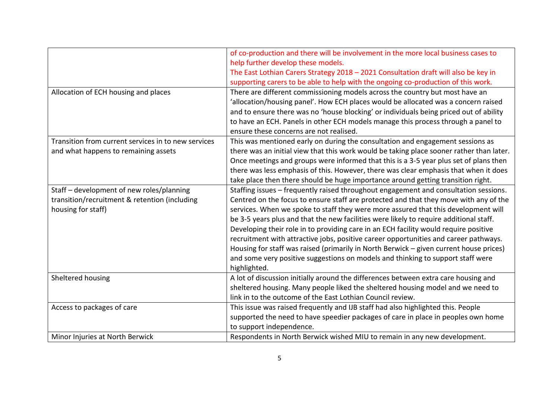|                                                                                                                  | of co-production and there will be involvement in the more local business cases to<br>help further develop these models.                                                                                                                                                                                                                                                                                                                                                                                                                                                                                                                                                                                                                   |
|------------------------------------------------------------------------------------------------------------------|--------------------------------------------------------------------------------------------------------------------------------------------------------------------------------------------------------------------------------------------------------------------------------------------------------------------------------------------------------------------------------------------------------------------------------------------------------------------------------------------------------------------------------------------------------------------------------------------------------------------------------------------------------------------------------------------------------------------------------------------|
|                                                                                                                  | The East Lothian Carers Strategy 2018 - 2021 Consultation draft will also be key in<br>supporting carers to be able to help with the ongoing co-production of this work.                                                                                                                                                                                                                                                                                                                                                                                                                                                                                                                                                                   |
| Allocation of ECH housing and places                                                                             | There are different commissioning models across the country but most have an<br>'allocation/housing panel'. How ECH places would be allocated was a concern raised<br>and to ensure there was no 'house blocking' or individuals being priced out of ability<br>to have an ECH. Panels in other ECH models manage this process through a panel to<br>ensure these concerns are not realised.                                                                                                                                                                                                                                                                                                                                               |
| Transition from current services in to new services<br>and what happens to remaining assets                      | This was mentioned early on during the consultation and engagement sessions as<br>there was an initial view that this work would be taking place sooner rather than later.<br>Once meetings and groups were informed that this is a 3-5 year plus set of plans then<br>there was less emphasis of this. However, there was clear emphasis that when it does<br>take place then there should be huge importance around getting transition right.                                                                                                                                                                                                                                                                                            |
| Staff - development of new roles/planning<br>transition/recruitment & retention (including<br>housing for staff) | Staffing issues - frequently raised throughout engagement and consultation sessions.<br>Centred on the focus to ensure staff are protected and that they move with any of the<br>services. When we spoke to staff they were more assured that this development will<br>be 3-5 years plus and that the new facilities were likely to require additional staff.<br>Developing their role in to providing care in an ECH facility would require positive<br>recruitment with attractive jobs, positive career opportunities and career pathways.<br>Housing for staff was raised (primarily in North Berwick - given current house prices)<br>and some very positive suggestions on models and thinking to support staff were<br>highlighted. |
| Sheltered housing                                                                                                | A lot of discussion initially around the differences between extra care housing and<br>sheltered housing. Many people liked the sheltered housing model and we need to<br>link in to the outcome of the East Lothian Council review.                                                                                                                                                                                                                                                                                                                                                                                                                                                                                                       |
| Access to packages of care                                                                                       | This issue was raised frequently and IJB staff had also highlighted this. People<br>supported the need to have speedier packages of care in place in peoples own home<br>to support independence.                                                                                                                                                                                                                                                                                                                                                                                                                                                                                                                                          |
| Minor Injuries at North Berwick                                                                                  | Respondents in North Berwick wished MIU to remain in any new development.                                                                                                                                                                                                                                                                                                                                                                                                                                                                                                                                                                                                                                                                  |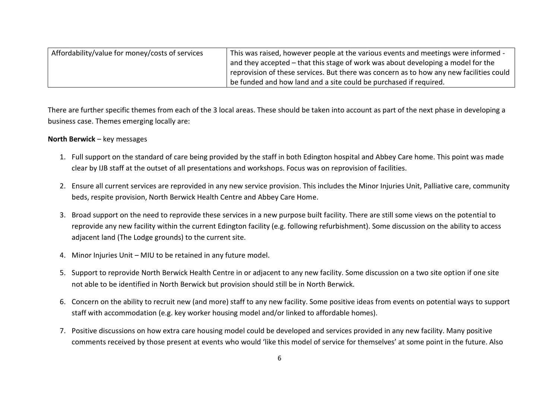| Affordability/value for money/costs of services | This was raised, however people at the various events and meetings were informed -      |
|-------------------------------------------------|-----------------------------------------------------------------------------------------|
|                                                 | and they accepted – that this stage of work was about developing a model for the        |
|                                                 | reprovision of these services. But there was concern as to how any new facilities could |
|                                                 | I be funded and how land and a site could be purchased if required.                     |

There are further specific themes from each of the 3 local areas. These should be taken into account as part of the next phase in developing a business case. Themes emerging locally are:

#### **North Berwick** – key messages

- 1. Full support on the standard of care being provided by the staff in both Edington hospital and Abbey Care home. This point was made clear by IJB staff at the outset of all presentations and workshops. Focus was on reprovision of facilities.
- 2. Ensure all current services are reprovided in any new service provision. This includes the Minor Injuries Unit, Palliative care, community beds, respite provision, North Berwick Health Centre and Abbey Care Home.
- 3. Broad support on the need to reprovide these services in a new purpose built facility. There are still some views on the potential to reprovide any new facility within the current Edington facility (e.g. following refurbishment). Some discussion on the ability to access adjacent land (The Lodge grounds) to the current site.
- 4. Minor Injuries Unit MIU to be retained in any future model.
- 5. Support to reprovide North Berwick Health Centre in or adjacent to any new facility. Some discussion on a two site option if one site not able to be identified in North Berwick but provision should still be in North Berwick.
- 6. Concern on the ability to recruit new (and more) staff to any new facility. Some positive ideas from events on potential ways to support staff with accommodation (e.g. key worker housing model and/or linked to affordable homes).
- 7. Positive discussions on how extra care housing model could be developed and services provided in any new facility. Many positive comments received by those present at events who would 'like this model of service for themselves' at some point in the future. Also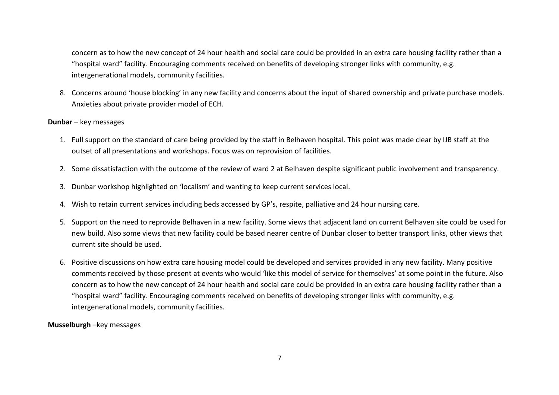concern as to how the new concept of 24 hour health and social care could be provided in an extra care housing facility rather than a "hospital ward" facility. Encouraging comments received on benefits of developing stronger links with community, e.g. intergenerational models, community facilities.

8. Concerns around 'house blocking' in any new facility and concerns about the input of shared ownership and private purchase models. Anxieties about private provider model of ECH.

#### **Dunbar** – key messages

- 1. Full support on the standard of care being provided by the staff in Belhaven hospital. This point was made clear by IJB staff at the outset of all presentations and workshops. Focus was on reprovision of facilities.
- 2. Some dissatisfaction with the outcome of the review of ward 2 at Belhaven despite significant public involvement and transparency.
- 3. Dunbar workshop highlighted on 'localism' and wanting to keep current services local.
- 4. Wish to retain current services including beds accessed by GP's, respite, palliative and 24 hour nursing care.
- 5. Support on the need to reprovide Belhaven in a new facility. Some views that adjacent land on current Belhaven site could be used for new build. Also some views that new facility could be based nearer centre of Dunbar closer to better transport links, other views that current site should be used.
- 6. Positive discussions on how extra care housing model could be developed and services provided in any new facility. Many positive comments received by those present at events who would 'like this model of service for themselves' at some point in the future. Also concern as to how the new concept of 24 hour health and social care could be provided in an extra care housing facility rather than a "hospital ward" facility. Encouraging comments received on benefits of developing stronger links with community, e.g. intergenerational models, community facilities.

#### **Musselburgh** –key messages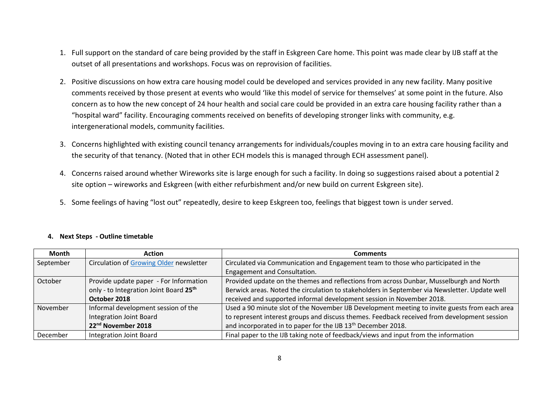- 1. Full support on the standard of care being provided by the staff in Eskgreen Care home. This point was made clear by IJB staff at the outset of all presentations and workshops. Focus was on reprovision of facilities.
- 2. Positive discussions on how extra care housing model could be developed and services provided in any new facility. Many positive comments received by those present at events who would 'like this model of service for themselves' at some point in the future. Also concern as to how the new concept of 24 hour health and social care could be provided in an extra care housing facility rather than a "hospital ward" facility. Encouraging comments received on benefits of developing stronger links with community, e.g. intergenerational models, community facilities.
- 3. Concerns highlighted with existing council tenancy arrangements for individuals/couples moving in to an extra care housing facility and the security of that tenancy. (Noted that in other ECH models this is managed through ECH assessment panel).
- 4. Concerns raised around whether Wireworks site is large enough for such a facility. In doing so suggestions raised about a potential 2 site option – wireworks and Eskgreen (with either refurbishment and/or new build on current Eskgreen site).
- 5. Some feelings of having "lost out" repeatedly, desire to keep Eskgreen too, feelings that biggest town is under served.

| <b>Month</b> | <b>Action</b>                           | <b>Comments</b>                                                                               |
|--------------|-----------------------------------------|-----------------------------------------------------------------------------------------------|
| September    | Circulation of Growing Older newsletter | Circulated via Communication and Engagement team to those who participated in the             |
|              |                                         | Engagement and Consultation.                                                                  |
| October      | Provide update paper - For Information  | Provided update on the themes and reflections from across Dunbar, Musselburgh and North       |
|              | only - to Integration Joint Board 25th  | Berwick areas. Noted the circulation to stakeholders in September via Newsletter. Update well |
|              | October 2018                            | received and supported informal development session in November 2018.                         |
| November     | Informal development session of the     | Used a 90 minute slot of the November IJB Development meeting to invite guests from each area |
|              | Integration Joint Board                 | to represent interest groups and discuss themes. Feedback received from development session   |
|              | 22 <sup>nd</sup> November 2018          | and incorporated in to paper for the IJB 13 <sup>th</sup> December 2018.                      |
| December     | <b>Integration Joint Board</b>          | Final paper to the IJB taking note of feedback/views and input from the information           |

#### **4. Next Steps - Outline timetable**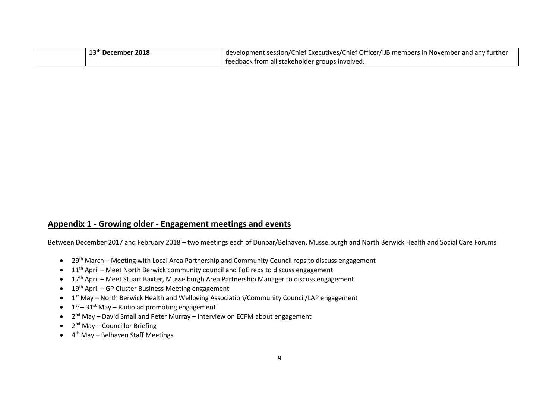| 13 <sup>th</sup> December 2018 | development session/Chief Executives/Chief Officer/IJB members in November and any further |
|--------------------------------|--------------------------------------------------------------------------------------------|
|                                | feedback from all stakeholder groups involved.                                             |

## **Appendix 1 - Growing older - Engagement meetings and events**

Between December 2017 and February 2018 – two meetings each of Dunbar/Belhaven, Musselburgh and North Berwick Health and Social Care Forums

- 29th March Meeting with Local Area Partnership and Community Council reps to discuss engagement
- $\bullet$  11<sup>th</sup> April Meet North Berwick community council and FoE reps to discuss engagement
- 17<sup>th</sup> April Meet Stuart Baxter, Musselburgh Area Partnership Manager to discuss engagement
- 19<sup>th</sup> April GP Cluster Business Meeting engagement
- 1<sup>st</sup> May North Berwick Health and Wellbeing Association/Community Council/LAP engagement
- $\bullet$   $1^{\text{st}} 31^{\text{st}}$  May Radio ad promoting engagement
- 2<sup>nd</sup> May David Small and Peter Murray interview on ECFM about engagement
- 2<sup>nd</sup> May Councillor Briefing
- 4<sup>th</sup> May Belhaven Staff Meetings